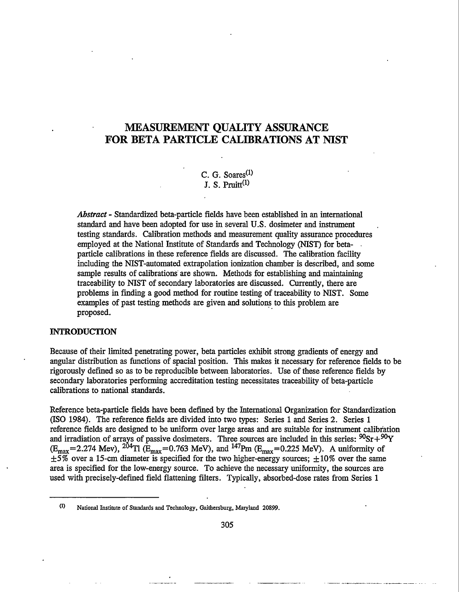# **MEASUREMENT QUALITY ASSURANCE FOR BETA PARTICLE CALIBRATIONS AT NIST**

C. G. Soares<sup>(1)</sup>  $J. S. Pruit<sup>(1)</sup>$ 

*Abstract -* Standardized beta-particle fields have been established in an international standard and have been adopted for use in several U.S. dosimeter and instrument testing standards. Calibration methods and measurement quality assurance procedures employed at the National Institute of Standards and Technology (NIST) for betaparticle calibrations in these reference fields are discussed. The calibration facility including the NIST-automated extrapolation ionization chamber is described, and some sample results of calibrations are shown. Methods for establishing and maintaining traceability to NIST of secondary laboratories are discussed. Currently, there are problems in finding a good method for routine testing of traceability to NIST. Some examples of past testing methods are given and solutions to this problem are proposed.

#### **INTRODUCTION**

Because of their limited penetrating power, beta particles exhibit strong gradients of energy and angular distribution as functions of spatial position. This makes it necessary for reference fields to be rigorously defined so as to be reproducible between laboratories. Use of these reference fields by secondary laboratories performing accreditation testing necessitates traceability of beta-particle calibrations to national standards.

Reference beta-particle fields have been defined by the International Organization for Standardization (ISO 1984). The reference fields are divided into two types: Series 1 and Series 2. Series 1 reference fields are designed to be uniform over large areas and are suitable for instrument calibration and irradiation of arrays of passive dosimeters. Three sources are included in this series:  $90Sr + 90Y$  $(E_{\text{max}}=2.274 \text{ Mev})$ ,  $^{204}$ Tl ( $E_{\text{max}}=0.763 \text{ MeV}$ ), and  $^{147}$ Pm ( $E_{\text{max}}=0.225 \text{ MeV}$ ). A uniformity of  $\pm 5\%$  over a 15-cm diameter is specified for the two higher-energy sources;  $\pm 10\%$  over the same area is specified for the low-energy source. To achieve the necessary uniformity, the sources are used with precisely-defined field flattening filters. Typically, absorbed-dose rates from Series 1

 $(1)$ National Institute of Standards and Technology, Gaithersburg, Maryland 20899.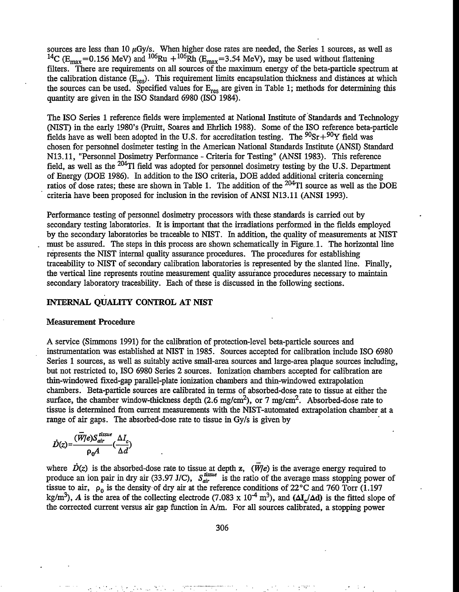sources are less than 10  $\mu$ Gy/s. When higher dose rates are needed, the Series 1 sources, as well as <sup>14</sup>C ( $E_{\text{max}}$ =0.156 MeV) and <sup>106</sup>Ru +<sup>106</sup>Rh ( $E_{\text{max}}$ =3.54 MeV), may be used without flattening filters. There are requirements on all sources of the maximum energy of the beta-particle spectrum at the calibration distance  $(E_{res})$ . This requirement limits encapsulation thickness and distances at which the sources can be used. Specified values for  $E_{res}$  are given in Table 1; methods for determining this quantity are given in the ISO Standard 6980 (ISO 1984).

The ISO Series 1 reference fields were implemented at National Institute of Standards and Technology (NIST) in the early 1980's (Pruitt, Soares and Ehrlich 1988). Some of the ISO reference beta-particle fields have as well been adopted in the U.S. for accreditation testing. The  ${}^{90}Sr+{}^{90}Y$  field was chosen for personnel dosimeter testing in the American National Standards Institute (ANSI) Standard N13.ll, "Personnel Dosimetry Performance - Criteria for Testing" (ANSI 1983). This reference field, as well as the 204T1 field was adopted for personnel dosimetry testing by tihe U.S. Department of Energy (DOE 1986). In addition to the ISO criteria, DOE added additional criteria concerning ratios of dose rates; these are shown in Table 1. The addition of the <sup>204</sup>Tl source as well as the DOE criteria have been proposed for inclusion in the revision of ANSI N13.ll (ANSI 1993).

Performance testing of personnel dosimetry processors with these standards is carried out by secondary testing laboratories. It is important that the irradiations performed in the fields employed by the secondary laboratories be traceable to NIST. In addition, the quality of measurements at NIST must be assured. The steps in this process are shown schematically in Figure 1. The horizontal line represents the NIST internal quality assurance procedures. The procedures for establishing traceability to NIST of secondary calibration laboratories is represented by the slanted line. Finally, the vertical line represents routine measurement quality assurance procedures necessary to maintain secondary laboratory traceability. Each of these is discussed in the following sections.

## **INTERNAL QUALITY CONTROL AT NIST**

#### **Measurement Procedure**

A service (Simmons 1991) for the calibration of protection-level beta-particle sources and instrumentation was established at NIST in 1985. Sources accepted for calibration include ISO 6980 Series 1 sources, as well as suitably active small-area sources and large-area plaque sources including, but not restricted to, ISO 6980 Series 2 sources. Ionization chambers accepted for calibration are thin-windowed fixed-gap parallel-plate ionization chambers and thin-windowed extrapolation chambers. Beta-particle sources are calibrated in terms of absorbed-dose rate to tissue at either the surface, the chamber window-thickness depth  $(2.6 \text{ mg/cm}^2)$ , or 7 mg/cm<sup>2</sup>. Absorbed-dose rate to tissue is determined from current measurements with the NIST-automated extrapolation chamber at a range of air gaps. The absorbed-dose rate to tissue in Gy/s is given by

$$
\dot{D}(z) = \frac{(\overline{W}/e)S_{air}^{tissue}}{\rho_0 A}(\frac{\Delta I_c}{\Delta d})
$$

where  $\dot{D}(z)$  is the absorbed-dose rate to tissue at depth z,  $(\overline{W}/e)$  is the average energy required to produce an ion pair in dry air (33.97 J/C),  $S_{air}^{lattice}$  is the ratio of the average mass stopping power of tissue to air,  $\rho_0$  is the density of dry air at the reference conditions of 22<sup>o</sup>C and 760 Torr (1.197 kg/m<sup>3</sup>), *A* is the area of the collecting electrode (7.083 x 10<sup>-4</sup> m<sup>3</sup>), and ( $\Delta I_c/\Delta d$ ) is the fitted slope of the corrected current versus air gap function in A/m. For all sources calibrated, a stopping power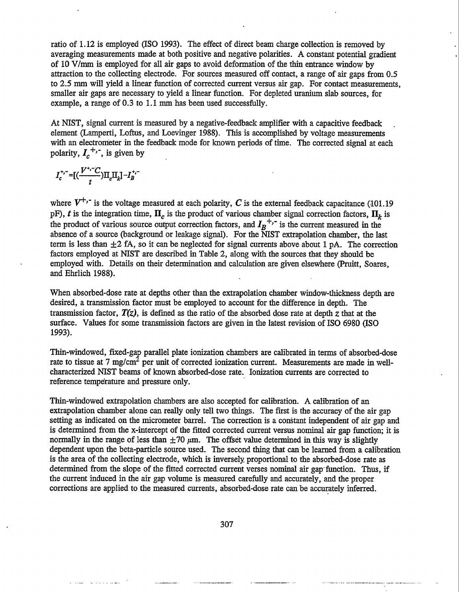ratio of 1.12 is employed (ISO 1993). The effect of direct beam charge collection is removed by averaging measurements made at both positive and negative polarities. A constant potential gradient of 10 V/mm is employed for all air gaps to avoid deformation of the thin entrance window by attraction to the collecting electrode. For sources measured off contact, a range of air gaps from 0.5 to 2.5 mm will yield a linear function of corrected current versus air gap. For contact measurements, smaller air gaps are necessary to yield a linear function. For depleted uranium slab sources, for example, a range of 0.3 to 1.1 mm has been used successfully.

At NIST, signal current is measured by a negative-feedback amplifier with a capacitive feedback element (Lamperti, Loftus, and Loevinger 1988). This is accomplished by voltage measurements with an electrometer in the feedback mode for known periods of time. The corrected signal at each polarity,  $I_{c}^{+,-}$ , is given by

$$
I_c^{+,-}=[(\frac{V^{+,-}C}{t})\Pi_c\Pi_k]-I_B^{+,-}
$$

where  $V^{+,-}$  is the voltage measured at each polarity, *C* is the external feedback capacitance (101.19) pF), *t* is the integration time,  $\Pi_c$  is the product of various chamber signal correction factors,  $\Pi_k$  is the product of various source output correction factors, and  $I_B^{\dagger}$  is the current measured in the absence of a source (background or leakage signal). For the NIST extrapolation chamber, the last term is less than  $\pm 2$  fA, so it can be neglected for signal currents above about 1 pA. The correction factors employed at NIST are described in Table 2, along with the sources that they should be employed with. Details on their determination and calculation are given elsewhere (Pruitt, Soares, and Ehrlich 1988).

When absorbed-dose rate at depths other than the extrapolation chamber window-thickness depth are desired, a transmission factor must be employed to account for the difference in depth. The transmission factor, *T(z),* is defined as the ratio of the absorbed dose rate at depth *z* that at the surface. Values for some transmission factors are given in the latest revision of ISO 6980 (ISO 1993).

Thin-windowed, fixed-gap parallel plate ionization chambers are calibrated in terms of absorbed-dose rate to tissue at 7 mg/cm<sup>2</sup> per unit of corrected ionization current. Measurements are made in wellcharacterized NIST beams of known absorbed-dose rate. Ionization currents are corrected to reference temperature and pressure only.

Thin-windowed extrapolation chambers are also accepted for calibration. A calibration of an extrapolation chamber alone can really only tell two things. The first is the accuracy of the air gap setting as indicated on the micrometer barrel. The correction is a constant independent of air gap and is determined from the x-intercept of the fitted corrected current versus **nominal** air gap function; it is normally in the range of less than  $\pm 70 \mu$ m. The offset value determined in this way is slightly dependent upon the beta-particle source used. The second thing that can be learned from a calibration is the area of the collecting electrode, which is inversely proportional to the absorbed-dose rate as determined from the slope of the fitted corrected current verses nominal air gap function. Thus, if the current induced in the air gap volume is measured carefully and accurately, and the proper corrections are applied to the measured currents, absorbed-dose rate can be accurately inferred.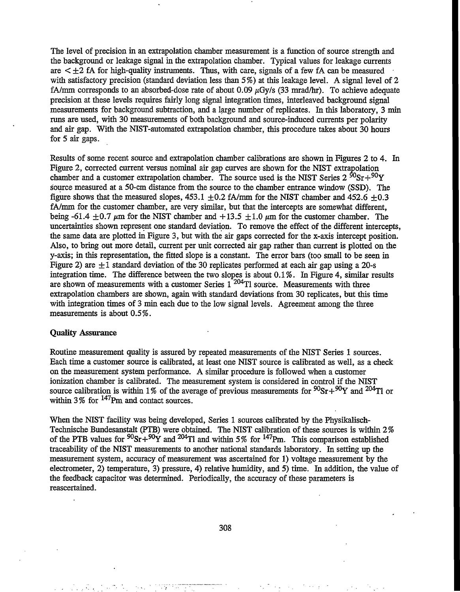The level of precision in an extrapolation chamber measurement is a function of source strength and the background or leakage signal in the extrapolation chamber. Typical values for leakage currents are  $\leq \pm 2$  fA for high-quality instruments. Thus, with care, signals of a few fA can be measured with satisfactory precision (standard deviation less than 5%) at this leakage level. A signal level of 2 fA/mm corresponds to an absorbed-dose rate of about 0.09  $\mu$ Gy/s (33 mrad/hr). To achieve adequate precision at these levels requires fairly long signal integration times, interleaved background signal measurements for background subtraction, and a large number of replicates. In this laboratory, 3 min runs are used, with 30 measurements of both background and source-induced currents per polarity and air gap. With the NIST-automated extrapolation chamber, this procedure takes about 30 hours for 5 air gaps.

Results of some recent source and extrapolation chamber calibrations are shown in Figures 2 to 4. In Figure 2, corrected current versus nominal air gap curves are shown for the NIST extrapolation chamber and a customer extrapolation chamber. The source used is the NIST Series  $2^{90}Sr+90Y$ source measured at a 50-cm distance from the source to the chamber entrance window (SSD). The figure shows that the measured slopes,  $453.1 \pm 0.2$  fA/mm for the NIST chamber and  $452.6 \pm 0.3$ fA/mm for the customer chamber, are very similar, but that the intercepts are somewhat different. being -61.4  $\pm$ 0.7  $\mu$ m for the NIST chamber and +13.5  $\pm$ 1.0  $\mu$ m for the customer chamber. The uncertainties shown represent one standard deviation. To remove the effect of the different intercepts, the same data are plotted in Figure 3, but with the air gaps corrected for the x-axis intercept position. Also, to bring out more detail, current per unit corrected air gap rather than current is plotted on the y-axis; in this representation, the fitted slope is a constant. The error bars (too small to be seen in Figure 2) are  $\pm 1$  standard deviation of the 30 replicates performed at each air gap using a 20-s integration time. The difference between the two slopes is about 0.1 %. In Figure 4, similar results are shown of measurements with a customer Series 1 204Tl source. Measurements with three extrapolation chambers are shown, again with standard deviations from 30 replicates, but this time with integration times of 3 min each due to the low signal levels. Agreement among the three measurements is about 0.5%.

#### **Quality Assurance**

Routine measurement quality is assured by repeated measurements of the NIST Series 1 sources. Each time a customer source is calibrated, at least one NIST source is calibrated as well, as a check on the measurement system performance. A similar procedure is followed when a customer ionization chamber is calibrated. The measurement system is considered in control if the NIST source calibration is within 1% of the average of previous measurements for  $90Sr+90Y$  and  $204T1$  or within 3% for  $147$ Pm and contact sources.

When the NIST facility was being developed, Series 1 sources calibrated by the Physikalisch-Technische Bundesanstalt (PTB) were obtained. The NIST calibration of these sources is within 2% of the PTB values for  $90Sr+90Y$  and  $204T1$  and within 5% for  $147Pm$ . This comparison established traceability of the NIST measurements to another national standards laboratory. In setting up the measurement system, accuracy of measurement was ascertained for 1) voltage measurement by the electrometer, 2) temperature, 3) pressure, 4) relative humidity, and 5) time. In addition, the value of the feedback capacitor was determined. Periodically, the accuracy of these parameters is reascertained.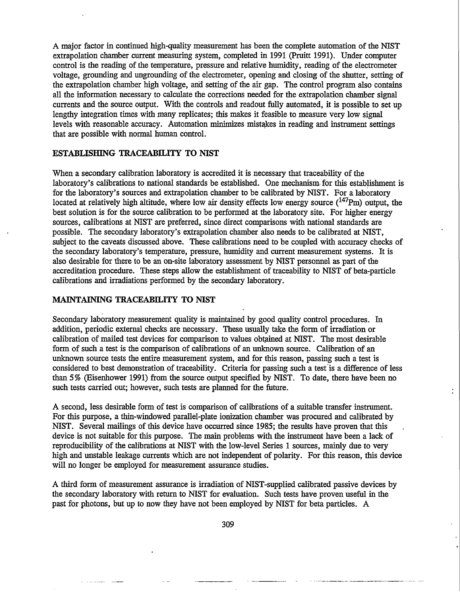A major factor in continued high-quality measurement has been the complete automation of the NIST extrapolation chamber current measuring system, completed in 1991 (Pruitt 1991). Under computer control is the reading of the temperature, pressure and relative humidity, reading of the electrometer voltage, grounding and ungrounding of the electrometer, opening and closing of the shutter, setting of the extrapolation chamber high voltage, and setting of the air gap. The control program also contains all the information necessary to calculate the corrections needed for the extrapolation chamber signal currents and the source output. With the controls and readout fully automated, it is possible to set up lengthy integration times with many replicates; this makes it feasible to measure very low signal levels with reasonable accuracy. Automation minimizes mistakes in reading and instrument settings that are possible with normal human control.

## **ESTABLISHING TRACEABILITY TO NIST**

When a secondary calibration laboratory is accredited it is necessary that traceability of the laboratory's calibrations to national standards be established. One mechanism for this establishment is for the laboratory's sources and extrapolation chamber to be calibrated by NIST. For a laboratory located at relatively high altitude, where low air density effects low energy source  $(^{147}Pm)$  output, the best solution is for the source calibration to be performed at the laboratory site. For higher energy sources, calibrations at NIST are preferred, since direct comparisons with national standards are possible. The secondary laboratory's extrapolation chamber also needs to be calibrated at NIST, subject to the caveats discussed above. These calibrations need to be coupled with accuracy checks of the secondary laboratory's temperature, pressure, humidity and current measurement systems. It is also desirable for there to be an on-site laboratory assessment by NIST personnel as part of the accreditation procedure. These steps allow the establishment of traceability to NIST of beta-particle calibrations and irradiations performed by the secondary laboratory.

## **MAINTAINING TRACEABILITY TO NIST**

Secondary laboratory measurement quality is maintained by good quality control procedures. In addition, periodic external checks are necessary. These usually take the form of irradiation or calibration of mailed test devices for comparison to values obtained at NIST. The most desirable form of such a test is the comparison of calibrations of an unknown source. Calibration of an unknown source tests the entire measurement system, and for this reason, passing such a test is considered to best demonstration of traceability. Criteria for passing such a test is a difference of less than 5% (Eisenhower 1991) from the source output specified by NIST. To date, there have been no such tests carried out; however, such tests are planned for the future.

A second, less desirable form of test is comparison of calibrations of a suitable transfer instrument. For this purpose, a thin-windowed parallel-plate ionization chamber was procured and calibrated by NIST. Several mailings of this device have occurred since 1985; the results have proven that this device is not suitable for this purpose. The main problems with the instrument have been a lack of reproducibility of the calibrations at NIST with the low-level Series 1 sources, mainly due to very high and unstable leakage currents which are not independent of polarity. For this reason, this device will no longer be employed for measurement assurance studies.

A third form of measurement assurance is irradiation of NIST-supplied calibrated passive devices by the secondary laboratory with return to NIST for evaluation. Such tests have proven useful in the past for photons, but up to now they have not been employed by NIST for beta particles. A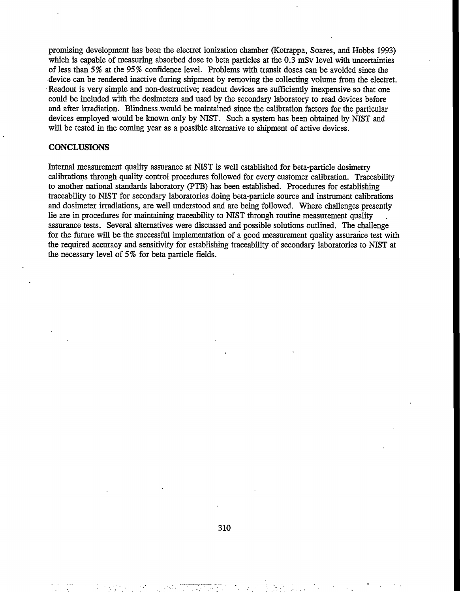promising development has been the electret ionization chamber (Kotrappa, Soares, and Hobbs 1993) which is capable of measuring absorbed dose to beta particles at the 0.3 mSv level with uncertainties of less than 5% at the 95% confidence level. Problems with transit doses can be avoided since the device can be rendered inactive during shipment by removing the collecting volume from the electret. Readout is very simple and non-destructive; readout devices are sufficiently inexpensive so that one could be included with the dosimeters and used by the secondary laboratory to read devices before and after irradiation. Blindness would be maintained since the calibration factors for the particular devices employed would be known only by NIST. Such a system has been obtained by NIST and will be tested in the coming year as a possible alternative to shipment of active devices.

## **CONCLUSIONS**

Internal measurement quality assurance at NIST is well established for beta-particle dosimetry calibrations through quality control procedures followed for every customer calibration. Traceability to another national standards laboratory (PTB) has been established. Procedures for establishing traceability to NIST for secondary laboratories doing beta-particle source and instrument calibrations and dosimeter irradiations, are well understood and are being followed. Where challenges presently lie are in procedures for maintaining traceability to NIST through routine measurement quality assurance tests. Several alternatives were discussed and possible solutions outlined. The challenge for the future will be the successful implementation of a good measurement quality assurance test with the required accuracy and sensitivity for establishing traceability of secondary laboratories to NIST at the necessary level of 5% for beta particle fields.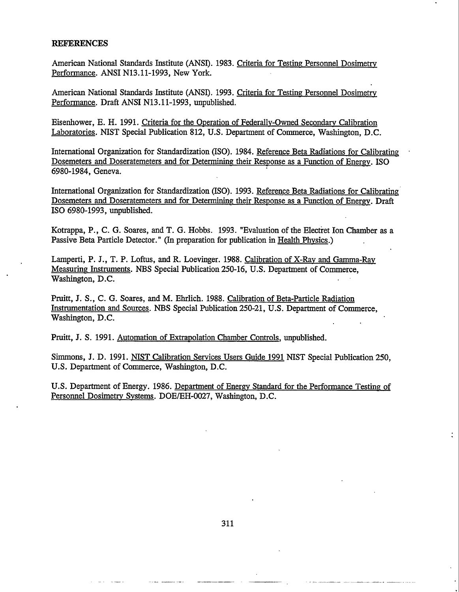#### **REFERENCES**

American National Standards Institute (ANSI). 1983. Criteria for Testing Personnel Dosimetry Performance. ANSI N13.11-1993, New York.

American National Standards Institute (ANSI). 1993. Criteria for Testing Personnel Dosimetry Performance. Draft ANSI N13.11-1993, unpublished.

Eisenhower, E. H. 1991. Criteria for the Operation of Federally-Owned Secondary Calibration Laboratories. NIST Special Publication 812, U.S. Department of Commerce, Washington, D.C.

International Organization for Standardization (ISO). 1984. Reference Beta Radiations for Calibrating Dosemeters and Doseratemeters and for Determining their Response as a Function of Energy. ISO 6980-1984, Geneva.

International Organization for Standardization (ISO). 1993. Reference Beta Radiations for Calibrating Dosemeters and Doseratemeters and for Determining their Response as a Function of Energy. Draft ISO 6980-1993, unpublished.

Kotrappa, P., C. G. Soares, and T. G. Hobbs. 1993. "Evaluation of the Electiret Ion Chamber as a Passive Beta Particle Detector." (In preparation for publication in Health Physics.)

Lamperti, P. J., T. P. Loftus, and R. Loevinger. 1988. Calibration of X-Rav and Gamma-Rav Measuring Instruments. NBS Special Publication 250-16, U.S. Department of Commerce, Washington, D.C.

Pruitt, J. S., C. G. Soares, and M. Ehrlich. 1988. Calibration of Beta-Particle Radiation Instrumentation and Sources. NBS Special Publication 250-21, U.S. Department of Commerce, Washington, D.C.

Pruitt, J. S. 1991. Automation of Extrapolation Chamber Controls, unpublished.

Simmons, J. D. 1991. NIST Calibration Services Users Guide 1991 NIST Special Publication 250, U.S. Department of Commerce, Washington, D.C.

U.S. Department of Energy. 1986. Department of Energy Standard for the Performance Testing of Personnel Dosimetry Systems. DOE/EH-OQ27, Washington, D.C.

 $\ddot{\cdot}$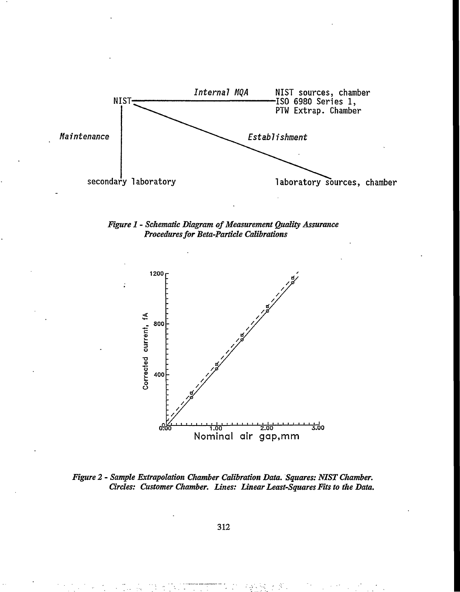

*Figure 1 - Schematic Diagram of Measurement Quality Assurance Procedures for Beta-Particle Calibrations*



*Figure 2 - Sample Extrapolation Chamber Calibration Data. Squares: NIST Chamber. Circles: Customer Chamber. Lines: Linear Least-Squares Fits to the Data.*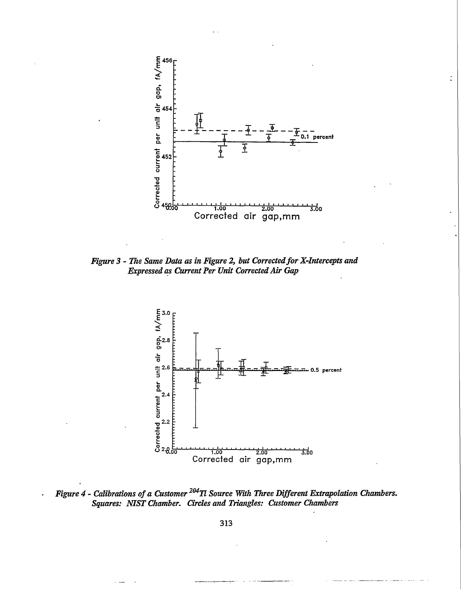

 $\ddot{\cdot}$ 

*Figure 3 - The Same Data as in Figure 2, but Corrected for X-Intercepts and Expressed as Current Per Unit Corrected Mr Gap*



*Figure 4 - Calibrations of a Customer 204Tl Source With Three Different Extrapolation Chambers. Squares: NIST Chamber. Circles and Triangles: Customer Chambers*